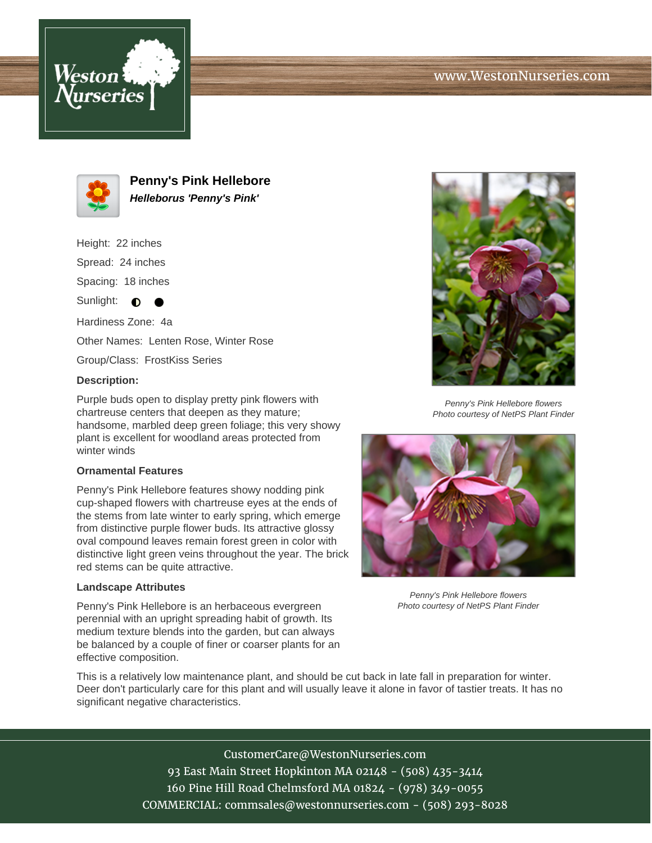# www.WestonNurseries.com





**Penny's Pink Hellebore Helleborus 'Penny's Pink'**

Height: 22 inches Spread: 24 inches Spacing: 18 inches

Sunlight:  $\bullet$  $\bullet$ 

Hardiness Zone: 4a Other Names: Lenten Rose, Winter Rose

Group/Class: FrostKiss Series

### **Description:**

Purple buds open to display pretty pink flowers with chartreuse centers that deepen as they mature; handsome, marbled deep green foliage; this very showy plant is excellent for woodland areas protected from winter winds

#### **Ornamental Features**

Penny's Pink Hellebore features showy nodding pink cup-shaped flowers with chartreuse eyes at the ends of the stems from late winter to early spring, which emerge from distinctive purple flower buds. Its attractive glossy oval compound leaves remain forest green in color with distinctive light green veins throughout the year. The brick red stems can be quite attractive.

#### **Landscape Attributes**

Penny's Pink Hellebore is an herbaceous evergreen perennial with an upright spreading habit of growth. Its medium texture blends into the garden, but can always be balanced by a couple of finer or coarser plants for an effective composition.



Penny's Pink Hellebore flowers Photo courtesy of NetPS Plant Finder



Penny's Pink Hellebore flowers Photo courtesy of NetPS Plant Finder

This is a relatively low maintenance plant, and should be cut back in late fall in preparation for winter. Deer don't particularly care for this plant and will usually leave it alone in favor of tastier treats. It has no significant negative characteristics.

> CustomerCare@WestonNurseries.com 93 East Main Street Hopkinton MA 02148 - (508) 435-3414 160 Pine Hill Road Chelmsford MA 01824 - (978) 349-0055 COMMERCIAL: commsales@westonnurseries.com - (508) 293-8028